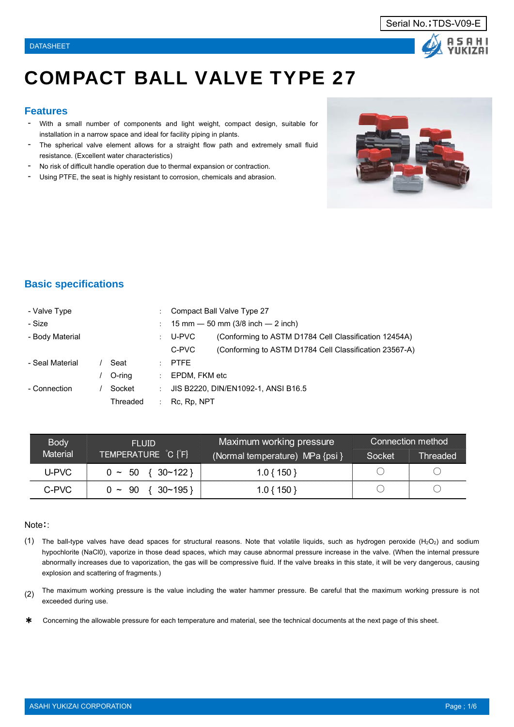

# COMPACT BALL VALVE TYPE 27

### **Features**

- **-**With a small number of components and light weight, compact design, suitable for installation in a narrow space and ideal for facility piping in plants.
- The spherical valve element allows for a straight flow path and extremely small fluid resistance. (Excellent water characteristics)
- No risk of difficult handle operation due to thermal expansion or contraction.
- Using PTFE, the seat is highly resistant to corrosion, chemicals and abrasion.



### **Basic specifications**

| - Valve Type    |                                                                       |          | ÷ | Compact Ball Valve Type 27                                      |  |
|-----------------|-----------------------------------------------------------------------|----------|---|-----------------------------------------------------------------|--|
| - Size          |                                                                       |          |   | 15 mm $-$ 50 mm (3/8 inch $-$ 2 inch)                           |  |
| - Body Material |                                                                       |          | ÷ | (Conforming to ASTM D1784 Cell Classification 12454A)<br>U-PVC  |  |
|                 |                                                                       |          |   | C-PVC<br>(Conforming to ASTM D1784 Cell Classification 23567-A) |  |
| - Seal Material |                                                                       | Seat     | ÷ | <b>PTFE</b>                                                     |  |
|                 |                                                                       | O-ring   | ÷ | EPDM, FKM etc                                                   |  |
| - Connection    | JIS B2220, DIN/EN1092-1, ANSI B16.5<br>Socket<br>$\ddot{\phantom{a}}$ |          |   |                                                                 |  |
|                 |                                                                       | Threaded |   | Rc, Rp, NPT                                                     |  |

| <b>Body</b>     | <b>FLUID</b>                 | Maximum working pressure        | <b>Connection method</b> |                 |  |
|-----------------|------------------------------|---------------------------------|--------------------------|-----------------|--|
| <b>Material</b> | TEMPERATURE C [F]            | (Normal temperature) MPa {psi } | Socket                   | <b>Threaded</b> |  |
| U-PVC           | $0 \sim 50 \{30 \sim 122\}$  | $1.0\{150\}$                    |                          |                 |  |
| C-PVC           | $\{30~-195\}$<br>$0 \sim 90$ | $1.0\{150\}$                    |                          |                 |  |

#### Note::

- (1) The ball-type valves have dead spaces for structural reasons. Note that volatile liquids, such as hydrogen peroxide (H<sub>2</sub>O<sub>2</sub>) and sodium hypochlorite (NaCl0), vaporize in those dead spaces, which may cause abnormal pressure increase in the valve. (When the internal pressure abnormally increases due to vaporization, the gas will be compressive fluid. If the valve breaks in this state, it will be very dangerous, causing explosion and scattering of fragments.)
- (2) The maximum working pressure is the value including the water hammer pressure. Be careful that the maximum working pressure is not exceeded during use.
- \* Concerning the allowable pressure for each temperature and material, see the technical documents at the next page of this sheet.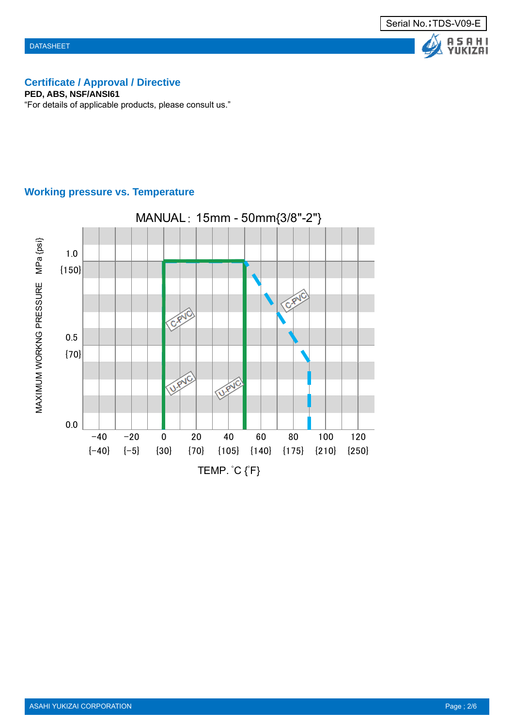### **Certificate / Approval / Directive**

**PED, ABS, NSF/ANSI61**

"For details of applicable products, please consult us."

### **Working pressure vs. Temperature**

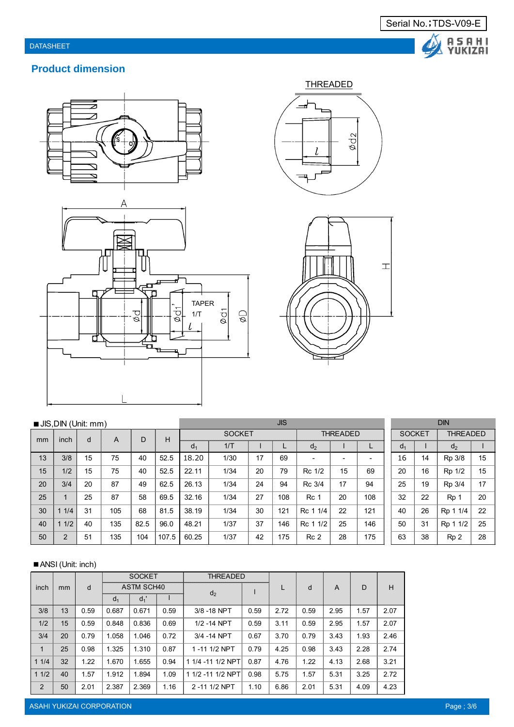

Δ

### **Product dimension**









| JIS, DIN (Unit: mm) |      |    |     | <b>JIS</b> |       |                |      |    |     |                 | <b>DIN</b>               |     |                |                 |                 |    |
|---------------------|------|----|-----|------------|-------|----------------|------|----|-----|-----------------|--------------------------|-----|----------------|-----------------|-----------------|----|
| mm                  | inch | d  |     | Н<br>D     |       | <b>SOCKET</b>  |      |    |     | <b>THREADED</b> |                          |     | <b>SOCKET</b>  | <b>THREADED</b> |                 |    |
|                     |      |    | A   |            |       | d <sub>1</sub> | 1/T  |    |     | d <sub>2</sub>  |                          |     | d <sub>1</sub> |                 | $d_2$           |    |
| 13                  | 3/8  | 15 | 75  | 40         | 52.5  | 18.20          | 1/30 | 17 | 69  | ۰               | $\overline{\phantom{a}}$ | -   | 16             | 14              | Rp 3/8          | 15 |
| 15                  | 1/2  | 15 | 75  | 40         | 52.5  | 22.11          | 1/34 | 20 | 79  | Rc 1/2          | 15                       | 69  | 20             | 16              | Rp 1/2          | 15 |
| 20                  | 3/4  | 20 | 87  | 49         | 62.5  | 26.13          | 1/34 | 24 | 94  | Rc 3/4          | 17                       | 94  | 25             | 19              | Rp 3/4          | 17 |
| 25                  |      | 25 | 87  | 58         | 69.5  | 32.16          | 1/34 | 27 | 108 | Rc 1            | 20                       | 108 | 32             | 22              | Rp 1            | 20 |
| 30                  | 1/4  | 31 | 105 | 68         | 81.5  | 38.19          | 1/34 | 30 | 121 | 1/4<br>Rc 1     | 22                       | 121 | 40             | 26              | Rp 1 1/4        | 22 |
| 40                  | 1/2  | 40 | 135 | 82.5       | 96.0  | 48.21          | 1/37 | 37 | 146 | 1/2<br>Rc 1     | 25                       | 146 | 50             | 31              | Rp 1 1/2        | 25 |
| 50                  | 2    | 51 | 135 | 104        | 107.5 | 60.25          | 1/37 | 42 | 175 | Rc <sub>2</sub> | 28                       | 175 | 63             | 38              | Rp <sub>2</sub> | 28 |

### ■ ANSI (Unit: inch)

|      |    |      | <b>SOCKET</b>  |                   |      | <b>THREADED</b>   |      |      |      |      |      |      |
|------|----|------|----------------|-------------------|------|-------------------|------|------|------|------|------|------|
| inch | mm | d    |                | <b>ASTM SCH40</b> |      |                   |      | L    | d    | A    | D    | H    |
|      |    |      | d <sub>1</sub> | $d_1$             |      | d <sub>2</sub>    |      |      |      |      |      |      |
| 3/8  | 13 | 0.59 | 0.687          | 0.671             | 0.59 | 3/8 - 18 NPT      | 0.59 | 2.72 | 0.59 | 2.95 | 1.57 | 2.07 |
| 1/2  | 15 | 0.59 | 0.848          | 0.836             | 0.69 | 1/2 - 14 NPT      | 0.59 | 3.11 | 0.59 | 2.95 | 1.57 | 2.07 |
| 3/4  | 20 | 0.79 | 1.058          | 1.046             | 0.72 | 3/4 - 14 NPT      | 0.67 | 3.70 | 0.79 | 3.43 | 1.93 | 2.46 |
| 1    | 25 | 0.98 | 1.325          | 1.310             | 0.87 | 1-11 1/2 NPT      | 0.79 | 4.25 | 0.98 | 3.43 | 2.28 | 2.74 |
| 11/4 | 32 | 1.22 | 1.670          | 1.655             | 0.94 | 1 1/4 -11 1/2 NPT | 0.87 | 4.76 | 1.22 | 4.13 | 2.68 | 3.21 |
| 11/2 | 40 | 1.57 | 1.912          | 1.894             | 1.09 | 1 1/2 -11 1/2 NPT | 0.98 | 5.75 | 1.57 | 5.31 | 3.25 | 2.72 |
| 2    | 50 | 2.01 | 2.387          | 2.369             | 1.16 | 2-11 1/2 NPT      | 1.10 | 6.86 | 2.01 | 5.31 | 4.09 | 4.23 |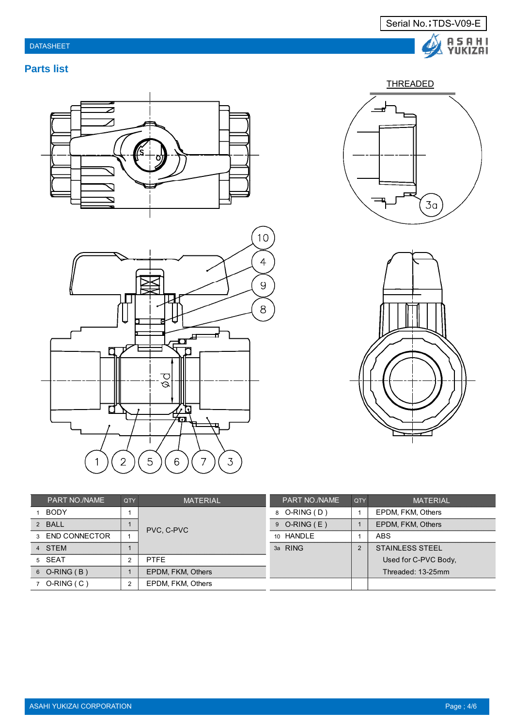

# **THREADED**  $3a$



| <b>PART NO./NAME</b> | <b>QTY</b> | <b>MATERIAL</b>   | <b>PART NO./NAME</b> | l QTY         | <b>MATERIAL</b>        |
|----------------------|------------|-------------------|----------------------|---------------|------------------------|
| <b>BODY</b>          |            |                   | 8 O-RING (D)         |               | EPDM, FKM, Others      |
| 2 BALL               |            | PVC, C-PVC        | $9$ O-RING (E)       |               | EPDM, FKM, Others      |
| 3 END CONNECTOR      |            |                   | 10 HANDLE            |               | ABS                    |
| 4 STEM               |            |                   | 3a RING              | $\mathcal{P}$ | <b>STAINLESS STEEL</b> |
| 5 SEAT               | 2          | <b>PTFF</b>       |                      |               | Used for C-PVC Body,   |
| $6$ O-RING (B)       |            | EPDM, FKM, Others |                      |               | Threaded: 13-25mm      |
| $7$ O-RING (C)       | 2          | EPDM, FKM, Others |                      |               |                        |



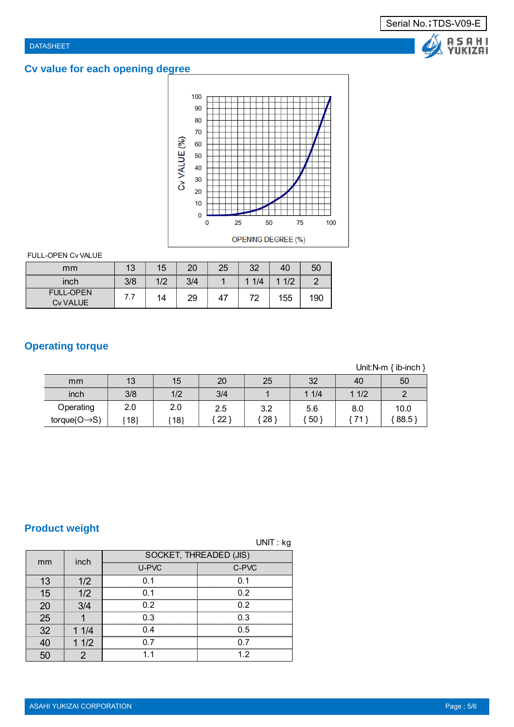# **Cv value for each opening degree**



### FULL-OPEN Cv VALUE

| mm                                  | 13  | 15  | 20  | 25 | 32                             | 40                    | 50  |
|-------------------------------------|-----|-----|-----|----|--------------------------------|-----------------------|-----|
| inch                                | 3/8 | 1/2 | 3/4 |    | 1/4<br>$\overline{\mathbf{A}}$ | 1/2<br>$\overline{A}$ |     |
| <b>FULL-OPEN</b><br><b>Cv VALUE</b> | .   | 14  | 29  | 47 | 72                             | 155                   | 190 |

## **Operating torque**

Unit:N-m { ib-inch }

| mm                        | 13  | 15  | 20           | 25  | 32  | 40   | 50   |
|---------------------------|-----|-----|--------------|-----|-----|------|------|
| inch                      | 3/8 | 1/2 | 3/4          |     | 1/4 | 11/2 |      |
| Operating                 | 2.0 | 2.0 | 2.5          | 3.2 | 5.6 | 8.0  | 10.0 |
| $torque(O \rightarrow S)$ | 18  | 18] | $22^{\circ}$ | 28' | 50  | 71   | 88.5 |

# **Product weight**

|    |                |       | UNIT: kg               |
|----|----------------|-------|------------------------|
| mm | inch           |       | SOCKET, THREADED (JIS) |
|    |                | U-PVC | C-PVC                  |
| 13 | 1/2            | 0.1   | 0.1                    |
| 15 | 1/2            | 0.1   | 0.2                    |
| 20 | 3/4            | 0.2   | 0.2                    |
| 25 |                | 0.3   | 0.3                    |
| 32 | 11/4           | 0.4   | 0.5                    |
| 40 | 11/2           | 0.7   | 0.7                    |
| 50 | $\overline{2}$ | 1.1   | 1.2                    |